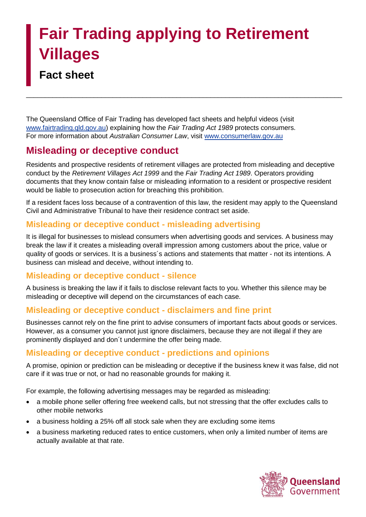# **Fair Trading applying to Retirement Villages**

# **Fact sheet**

The Queensland Office of Fair Trading has developed fact sheets and helpful videos (visit [www.fairtrading.qld.gov.au\)](http://www.fairtrading.qld.gov.au/) explaining how the *Fair Trading Act 1989* protects consumers. For more information about *Australian Consumer Law*, visit [www.consumerlaw.gov.au](http://www.consumerlaw.gov.au/)

# **Misleading or deceptive conduct**

Residents and prospective residents of retirement villages are protected from misleading and deceptive conduct by the *Retirement Villages Act 1999* and the *Fair Trading Act 1989*. Operators providing documents that they know contain false or misleading information to a resident or prospective resident would be liable to prosecution action for breaching this prohibition.

\_\_\_\_\_\_\_\_\_\_\_\_\_\_\_\_\_\_\_\_\_\_\_\_\_\_\_\_\_\_\_\_\_\_\_\_\_\_\_\_\_\_\_\_\_\_\_\_\_\_\_\_\_\_\_\_\_\_\_\_\_\_\_\_\_\_\_\_\_\_\_\_\_\_\_\_\_\_\_\_\_\_\_\_

If a resident faces loss because of a contravention of this law, the resident may apply to the Queensland Civil and Administrative Tribunal to have their residence contract set aside.

## **Misleading or deceptive conduct - misleading advertising**

It is illegal for businesses to mislead consumers when advertising goods and services. A business may break the law if it creates a misleading overall impression among customers about the price, value or quality of goods or services. It is a business´s actions and statements that matter - not its intentions. A business can mislead and deceive, without intending to.

## **Misleading or deceptive conduct - silence**

A business is breaking the law if it fails to disclose relevant facts to you. Whether this silence may be misleading or deceptive will depend on the circumstances of each case.

## **Misleading or deceptive conduct - disclaimers and fine print**

Businesses cannot rely on the fine print to advise consumers of important facts about goods or services. However, as a consumer you cannot just ignore disclaimers, because they are not illegal if they are prominently displayed and don´t undermine the offer being made.

## **Misleading or deceptive conduct - predictions and opinions**

A promise, opinion or prediction can be misleading or deceptive if the business knew it was false, did not care if it was true or not, or had no reasonable grounds for making it.

For example, the following advertising messages may be regarded as misleading:

- a mobile phone seller offering free weekend calls, but not stressing that the offer excludes calls to other mobile networks
- a business holding a 25% off all stock sale when they are excluding some items
- a business marketing reduced rates to entice customers, when only a limited number of items are actually available at that rate.

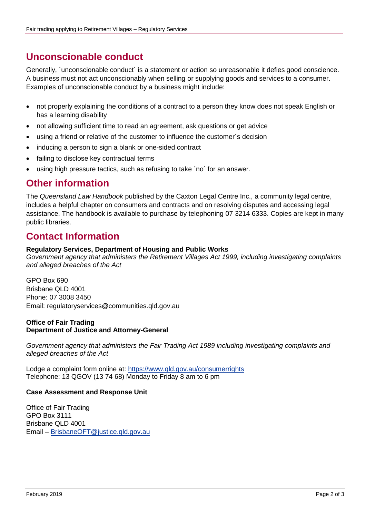## **Unconscionable conduct**

Generally, ´unconscionable conduct´ is a statement or action so unreasonable it defies good conscience. A business must not act unconscionably when selling or supplying goods and services to a consumer. Examples of unconscionable conduct by a business might include:

- not properly explaining the conditions of a contract to a person they know does not speak English or has a learning disability
- not allowing sufficient time to read an agreement, ask questions or get advice
- using a friend or relative of the customer to influence the customer´s decision
- inducing a person to sign a blank or one-sided contract
- failing to disclose key contractual terms
- using high pressure tactics, such as refusing to take 'no' for an answer.

## **Other information**

The *Queensland Law Handbook* published by the Caxton Legal Centre Inc., a community legal centre, includes a helpful chapter on consumers and contracts and on resolving disputes and accessing legal assistance. The handbook is available to purchase by telephoning 07 3214 6333. Copies are kept in many public libraries.

## **Contact Information**

#### **Regulatory Services, Department of Housing and Public Works**

*Government agency that administers the Retirement Villages Act 1999, including investigating complaints and alleged breaches of the Act*

GPO Box 690 Brisbane QLD 4001 Phone: 07 3008 3450 Email: regulatoryservices@communities.qld.gov.au

#### **Office of Fair Trading Department of Justice and Attorney-General**

*Government agency that administers the Fair Trading Act 1989 including investigating complaints and alleged breaches of the Act*

Lodge a complaint form online at:<https://www.qld.gov.au/consumerrights> Telephone: 13 QGOV (13 74 68) Monday to Friday 8 am to 6 pm

#### **Case Assessment and Response Unit**

Office of Fair Trading GPO Box 3111 Brisbane QLD 4001 Email – [BrisbaneOFT@justice.qld.gov.au](mailto:BrisbaneOFT@justice.qld.gov.au)